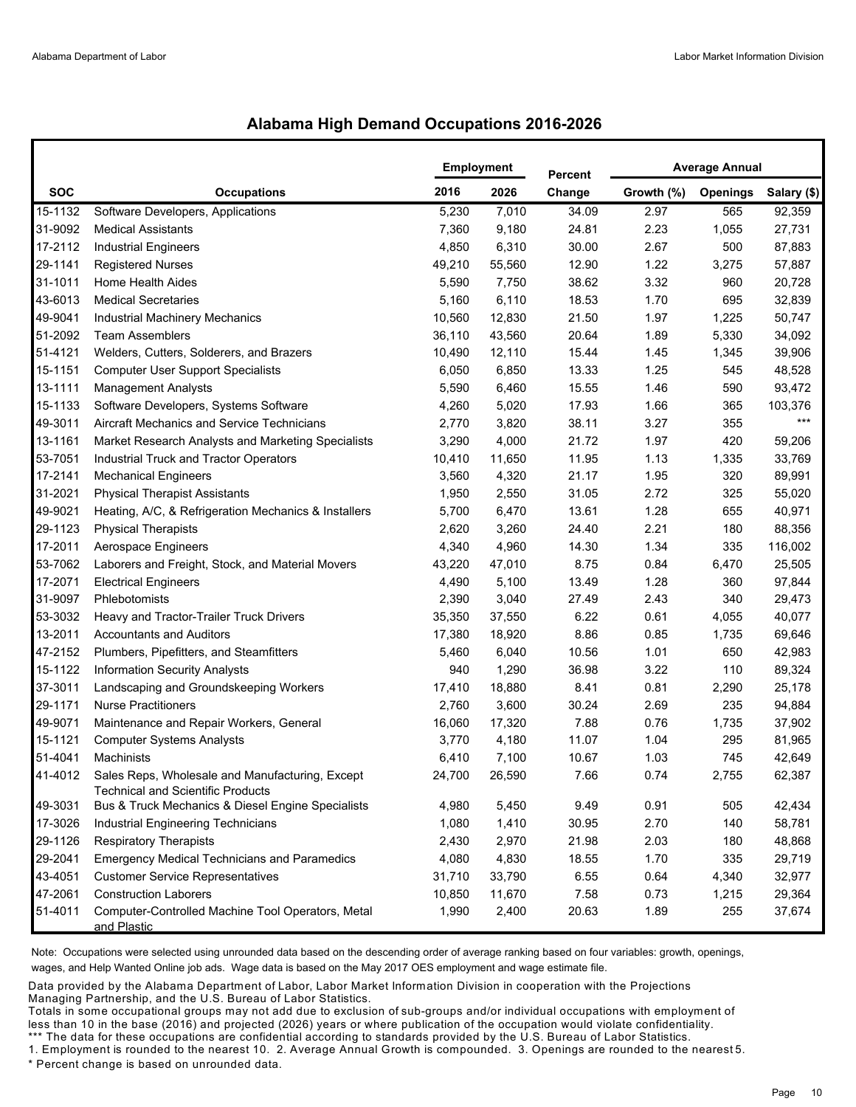## **Alabama High Demand Occupations 2016-2026**

|            |                                                                                             | <b>Employment</b> |        | <b>Percent</b> | <b>Average Annual</b> |                 |             |  |
|------------|---------------------------------------------------------------------------------------------|-------------------|--------|----------------|-----------------------|-----------------|-------------|--|
| <b>SOC</b> | <b>Occupations</b>                                                                          | 2016              | 2026   | Change         | Growth (%)            | <b>Openings</b> | Salary (\$) |  |
| 15-1132    | Software Developers, Applications                                                           | 5,230             | 7,010  | 34.09          | 2.97                  | 565             | 92,359      |  |
| 31-9092    | <b>Medical Assistants</b>                                                                   | 7,360             | 9,180  | 24.81          | 2.23                  | 1,055           | 27,731      |  |
| 17-2112    | <b>Industrial Engineers</b>                                                                 | 4,850             | 6,310  | 30.00          | 2.67                  | 500             | 87,883      |  |
| 29-1141    | <b>Registered Nurses</b>                                                                    | 49,210            | 55,560 | 12.90          | 1.22                  | 3,275           | 57,887      |  |
| 31-1011    | Home Health Aides                                                                           | 5,590             | 7,750  | 38.62          | 3.32                  | 960             | 20,728      |  |
| 43-6013    | <b>Medical Secretaries</b>                                                                  | 5,160             | 6,110  | 18.53          | 1.70                  | 695             | 32,839      |  |
| 49-9041    | Industrial Machinery Mechanics                                                              | 10,560            | 12,830 | 21.50          | 1.97                  | 1,225           | 50,747      |  |
| 51-2092    | <b>Team Assemblers</b>                                                                      | 36,110            | 43,560 | 20.64          | 1.89                  | 5,330           | 34,092      |  |
| 51-4121    | Welders, Cutters, Solderers, and Brazers                                                    | 10,490            | 12,110 | 15.44          | 1.45                  | 1,345           | 39,906      |  |
| 15-1151    | <b>Computer User Support Specialists</b>                                                    | 6,050             | 6,850  | 13.33          | 1.25                  | 545             | 48,528      |  |
| 13-1111    | <b>Management Analysts</b>                                                                  | 5,590             | 6,460  | 15.55          | 1.46                  | 590             | 93,472      |  |
| 15-1133    | Software Developers, Systems Software                                                       | 4,260             | 5,020  | 17.93          | 1.66                  | 365             | 103,376     |  |
| 49-3011    | Aircraft Mechanics and Service Technicians                                                  | 2,770             | 3,820  | 38.11          | 3.27                  | 355             | $***$       |  |
| 13-1161    | Market Research Analysts and Marketing Specialists                                          | 3,290             | 4,000  | 21.72          | 1.97                  | 420             | 59,206      |  |
| 53-7051    | Industrial Truck and Tractor Operators                                                      | 10,410            | 11,650 | 11.95          | 1.13                  | 1,335           | 33,769      |  |
| 17-2141    | <b>Mechanical Engineers</b>                                                                 | 3,560             | 4,320  | 21.17          | 1.95                  | 320             | 89,991      |  |
| 31-2021    | <b>Physical Therapist Assistants</b>                                                        | 1,950             | 2,550  | 31.05          | 2.72                  | 325             | 55,020      |  |
| 49-9021    | Heating, A/C, & Refrigeration Mechanics & Installers                                        | 5,700             | 6,470  | 13.61          | 1.28                  | 655             | 40,971      |  |
| 29-1123    | <b>Physical Therapists</b>                                                                  | 2,620             | 3,260  | 24.40          | 2.21                  | 180             | 88,356      |  |
| 17-2011    | Aerospace Engineers                                                                         | 4,340             | 4,960  | 14.30          | 1.34                  | 335             | 116,002     |  |
| 53-7062    | Laborers and Freight, Stock, and Material Movers                                            | 43,220            | 47,010 | 8.75           | 0.84                  | 6,470           | 25,505      |  |
| 17-2071    | <b>Electrical Engineers</b>                                                                 | 4,490             | 5,100  | 13.49          | 1.28                  | 360             | 97,844      |  |
| 31-9097    | Phlebotomists                                                                               | 2,390             | 3,040  | 27.49          | 2.43                  | 340             | 29,473      |  |
| 53-3032    | Heavy and Tractor-Trailer Truck Drivers                                                     | 35,350            | 37,550 | 6.22           | 0.61                  | 4,055           | 40,077      |  |
| 13-2011    | <b>Accountants and Auditors</b>                                                             | 17,380            | 18,920 | 8.86           | 0.85                  | 1,735           | 69,646      |  |
| 47-2152    | Plumbers, Pipefitters, and Steamfitters                                                     | 5,460             | 6,040  | 10.56          | 1.01                  | 650             | 42,983      |  |
| 15-1122    | <b>Information Security Analysts</b>                                                        | 940               | 1,290  | 36.98          | 3.22                  | 110             | 89,324      |  |
| 37-3011    | Landscaping and Groundskeeping Workers                                                      | 17,410            | 18,880 | 8.41           | 0.81                  | 2,290           | 25,178      |  |
| 29-1171    | <b>Nurse Practitioners</b>                                                                  | 2,760             | 3,600  | 30.24          | 2.69                  | 235             | 94,884      |  |
| 49-9071    | Maintenance and Repair Workers, General                                                     | 16,060            | 17,320 | 7.88           | 0.76                  | 1,735           | 37,902      |  |
| 15-1121    | <b>Computer Systems Analysts</b>                                                            | 3,770             | 4,180  | 11.07          | 1.04                  | 295             | 81,965      |  |
| 51-4041    | Machinists                                                                                  | 6,410             | 7,100  | 10.67          | 1.03                  | 745             | 42,649      |  |
| 41-4012    | Sales Reps, Wholesale and Manufacturing, Except<br><b>Technical and Scientific Products</b> | 24,700            | 26,590 | 7.66           | 0.74                  | 2,755           | 62,387      |  |
| 49-3031    | Bus & Truck Mechanics & Diesel Engine Specialists                                           | 4,980             | 5,450  | 9.49           | 0.91                  | 505             | 42,434      |  |
| 17-3026    | Industrial Engineering Technicians                                                          | 1,080             | 1,410  | 30.95          | 2.70                  | 140             | 58,781      |  |
| 29-1126    | <b>Respiratory Therapists</b>                                                               | 2,430             | 2,970  | 21.98          | 2.03                  | 180             | 48,868      |  |
| 29-2041    | <b>Emergency Medical Technicians and Paramedics</b>                                         | 4,080             | 4,830  | 18.55          | 1.70                  | 335             | 29,719      |  |
| 43-4051    | <b>Customer Service Representatives</b>                                                     | 31,710            | 33,790 | 6.55           | 0.64                  | 4,340           | 32,977      |  |
| 47-2061    | <b>Construction Laborers</b>                                                                | 10,850            | 11,670 | 7.58           | 0.73                  | 1,215           | 29,364      |  |
| 51-4011    | Computer-Controlled Machine Tool Operators, Metal<br>and Plastic                            | 1,990             | 2,400  | 20.63          | 1.89                  | 255             | 37,674      |  |

Note: Occupations were selected using unrounded data based on the descending order of average ranking based on four variables: growth, openings, wages, and Help Wanted Online job ads. Wage data is based on the May 2017 OES employment and wage estimate file.

Data provided by the Alabama Department of Labor, Labor Market Information Division in cooperation with the Projections Managing Partnership, and the U.S. Bureau of Labor Statistics.

Totals in some occupational groups may not add due to exclusion of sub-groups and/or individual occupations with employment of less than 10 in the base (2016) and projected (2026) years or where publication of the occupation would violate confidentiality. \*\*\* The data for these occupations are confidential according to standards provided by the U.S. Bureau of Labor Statistics.

1. Employment is rounded to the nearest 10. 2. Average Annual Growth is compounded. 3. Openings are rounded to the nearest 5.

\* Percent change is based on unrounded data.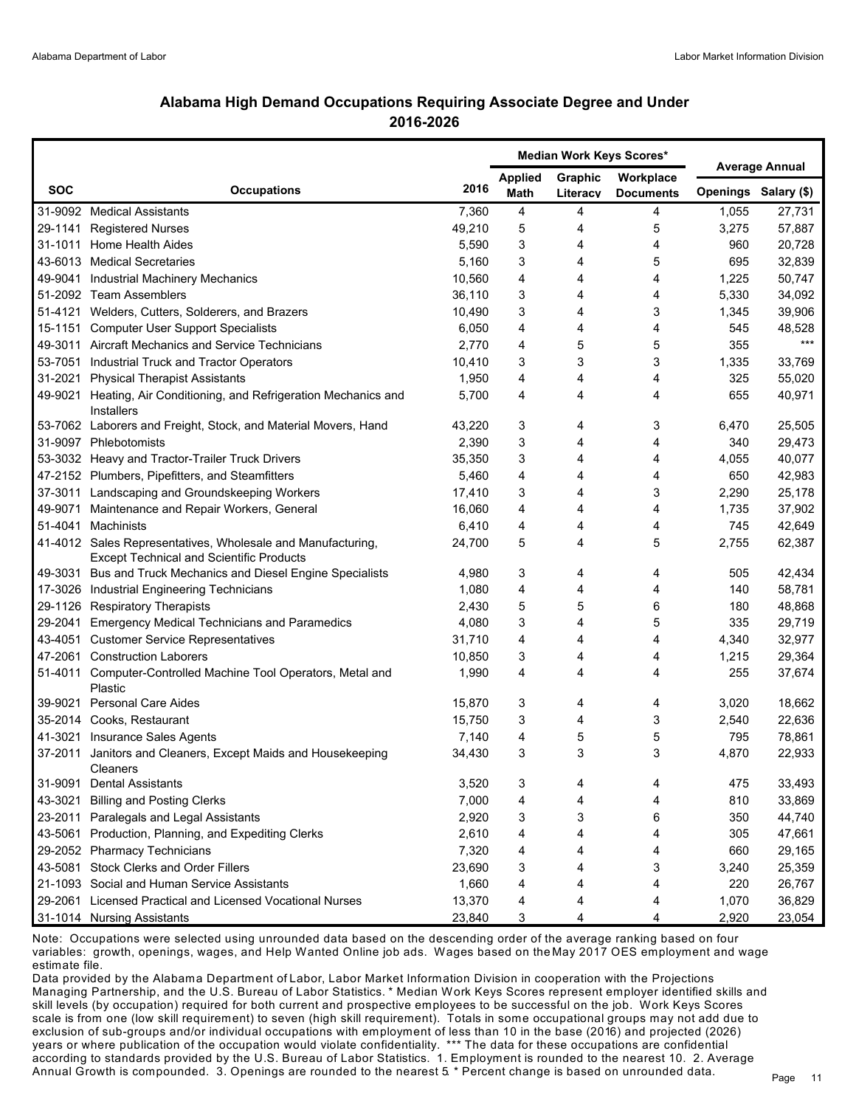## **Alabama High Demand Occupations Requiring Associate Degree and Under 2016-2026**

|            |                                                                                                                |        | Median Work Keys Scores* |                     |                               | <b>Average Annual</b> |                      |
|------------|----------------------------------------------------------------------------------------------------------------|--------|--------------------------|---------------------|-------------------------------|-----------------------|----------------------|
| <b>SOC</b> | <b>Occupations</b>                                                                                             | 2016   | <b>Applied</b><br>Math   | Graphic<br>Literacy | Workplace<br><b>Documents</b> |                       | Openings Salary (\$) |
|            | 31-9092 Medical Assistants                                                                                     | 7,360  | 4                        | 4                   | 4                             | 1,055                 | 27,731               |
| 29-1141    | <b>Registered Nurses</b>                                                                                       | 49,210 | 5                        | 4                   | 5                             | 3,275                 | 57,887               |
|            | 31-1011 Home Health Aides                                                                                      | 5,590  | 3                        | 4                   | 4                             | 960                   | 20,728               |
|            | 43-6013 Medical Secretaries                                                                                    | 5,160  | 3                        | 4                   | 5                             | 695                   | 32,839               |
|            | 49-9041 Industrial Machinery Mechanics                                                                         | 10,560 | 4                        | 4                   | 4                             | 1,225                 | 50,747               |
|            | 51-2092 Team Assemblers                                                                                        | 36,110 | 3                        | 4                   | 4                             | 5,330                 | 34,092               |
|            | 51-4121 Welders, Cutters, Solderers, and Brazers                                                               | 10,490 | 3                        | 4                   | 3                             | 1,345                 | 39,906               |
|            | 15-1151 Computer User Support Specialists                                                                      | 6,050  | 4                        | 4                   | 4                             | 545                   | 48,528               |
|            | 49-3011 Aircraft Mechanics and Service Technicians                                                             | 2,770  | 4                        | 5                   | 5                             | 355                   | $***$                |
|            | 53-7051 Industrial Truck and Tractor Operators                                                                 | 10,410 | 3                        | 3                   | 3                             | 1,335                 | 33,769               |
|            | 31-2021 Physical Therapist Assistants                                                                          | 1,950  | 4                        | 4                   | 4                             | 325                   | 55,020               |
|            | 49-9021 Heating, Air Conditioning, and Refrigeration Mechanics and                                             | 5,700  | 4                        | 4                   | 4                             | 655                   | 40,971               |
|            | Installers                                                                                                     |        |                          |                     |                               |                       |                      |
|            | 53-7062 Laborers and Freight, Stock, and Material Movers, Hand                                                 | 43,220 | 3                        | 4                   | 3                             | 6,470                 | 25,505               |
|            | 31-9097 Phlebotomists                                                                                          | 2,390  | 3                        | 4                   | 4                             | 340                   | 29,473               |
|            | 53-3032 Heavy and Tractor-Trailer Truck Drivers                                                                | 35,350 | 3                        | 4                   | 4                             | 4,055                 | 40,077               |
|            | 47-2152 Plumbers, Pipefitters, and Steamfitters                                                                | 5,460  | 4                        | 4                   | 4                             | 650                   | 42,983               |
|            | 37-3011 Landscaping and Groundskeeping Workers                                                                 | 17,410 | 3                        | 4                   | 3                             | 2,290                 | 25,178               |
|            | 49-9071 Maintenance and Repair Workers, General                                                                | 16,060 | 4                        | 4                   | 4                             | 1,735                 | 37,902               |
|            | 51-4041 Machinists                                                                                             | 6,410  | 4                        | 4                   | 4                             | 745                   | 42,649               |
|            | 41-4012 Sales Representatives, Wholesale and Manufacturing,<br><b>Except Technical and Scientific Products</b> | 24,700 | 5                        | 4                   | 5                             | 2,755                 | 62,387               |
|            | 49-3031 Bus and Truck Mechanics and Diesel Engine Specialists                                                  | 4,980  | 3                        | 4                   | 4                             | 505                   | 42,434               |
|            | 17-3026 Industrial Engineering Technicians                                                                     | 1,080  | 4                        | 4                   | 4                             | 140                   | 58,781               |
|            | 29-1126 Respiratory Therapists                                                                                 | 2,430  | 5                        | 5                   | 6                             | 180                   | 48,868               |
|            | 29-2041 Emergency Medical Technicians and Paramedics                                                           | 4,080  | 3                        | 4                   | 5                             | 335                   | 29,719               |
|            | 43-4051 Customer Service Representatives                                                                       | 31,710 | 4                        | 4                   | 4                             | 4,340                 | 32,977               |
|            | 47-2061 Construction Laborers                                                                                  | 10,850 | 3                        | 4                   | 4                             | 1,215                 | 29,364               |
|            | 51-4011 Computer-Controlled Machine Tool Operators, Metal and<br>Plastic                                       | 1,990  | 4                        | 4                   | 4                             | 255                   | 37,674               |
|            | 39-9021 Personal Care Aides                                                                                    | 15,870 | 3                        | 4                   | 4                             | 3,020                 | 18,662               |
|            | 35-2014 Cooks, Restaurant                                                                                      | 15,750 | 3                        | 4                   | 3                             | 2,540                 | 22,636               |
|            | 41-3021 Insurance Sales Agents                                                                                 | 7,140  | 4                        | 5                   | 5                             | 795                   | 78,861               |
| 37-2011    | Janitors and Cleaners, Except Maids and Housekeeping<br>Cleaners                                               | 34,430 | 3                        | 3                   | 3                             | 4,870                 | 22,933               |
| 31-9091    | <b>Dental Assistants</b>                                                                                       | 3,520  | 3                        | 4                   | 4                             | 475                   | 33,493               |
| 43-3021    | <b>Billing and Posting Clerks</b>                                                                              | 7,000  | 4                        | 4                   | 4                             | 810                   | 33,869               |
|            | 23-2011 Paralegals and Legal Assistants                                                                        | 2,920  | 3                        | 3                   | 6                             | 350                   | 44,740               |
|            | 43-5061 Production, Planning, and Expediting Clerks                                                            | 2,610  | 4                        | 4                   | 4                             | 305                   | 47,661               |
|            | 29-2052 Pharmacy Technicians                                                                                   | 7,320  | 4                        | 4                   | 4                             | 660                   | 29,165               |
|            | 43-5081 Stock Clerks and Order Fillers                                                                         | 23,690 | 3                        | 4                   | 3                             | 3,240                 | 25,359               |
|            | 21-1093 Social and Human Service Assistants                                                                    | 1,660  | 4                        | 4                   | 4                             | 220                   | 26,767               |
|            | 29-2061 Licensed Practical and Licensed Vocational Nurses                                                      | 13,370 | 4                        | 4                   | 4                             | 1,070                 | 36,829               |
|            | 31-1014 Nursing Assistants                                                                                     | 23,840 | 3                        | 4                   | 4                             | 2,920                 | 23,054               |

Note: Occupations were selected using unrounded data based on the descending order of the average ranking based on four variables: growth, openings, wages, and Help Wanted Online job ads. Wages based on the May 2017 OES employment and wage estimate file.

Data provided by the Alabama Department of Labor, Labor Market Information Division in cooperation with the Projections Managing Partnership, and the U.S. Bureau of Labor Statistics. \* Median Work Keys Scores represent employer identified skills and skill levels (by occupation) required for both current and prospective employees to be successful on the job. Work Keys Scores scale is from one (low skill requirement) to seven (high skill requirement). Totals in some occupational groups may not add due to exclusion of sub-groups and/or individual occupations with employment of less than 10 in the base (2016) and projected (2026) years or where publication of the occupation would violate confidentiality. \*\*\* The data for these occupations are confidential according to standards provided by the U.S. Bureau of Labor Statistics. 1. Employment is rounded to the nearest 10. 2. Average Annual Growth is compounded. 3. Openings are rounded to the nearest  $5*$  Percent change is based on unrounded data.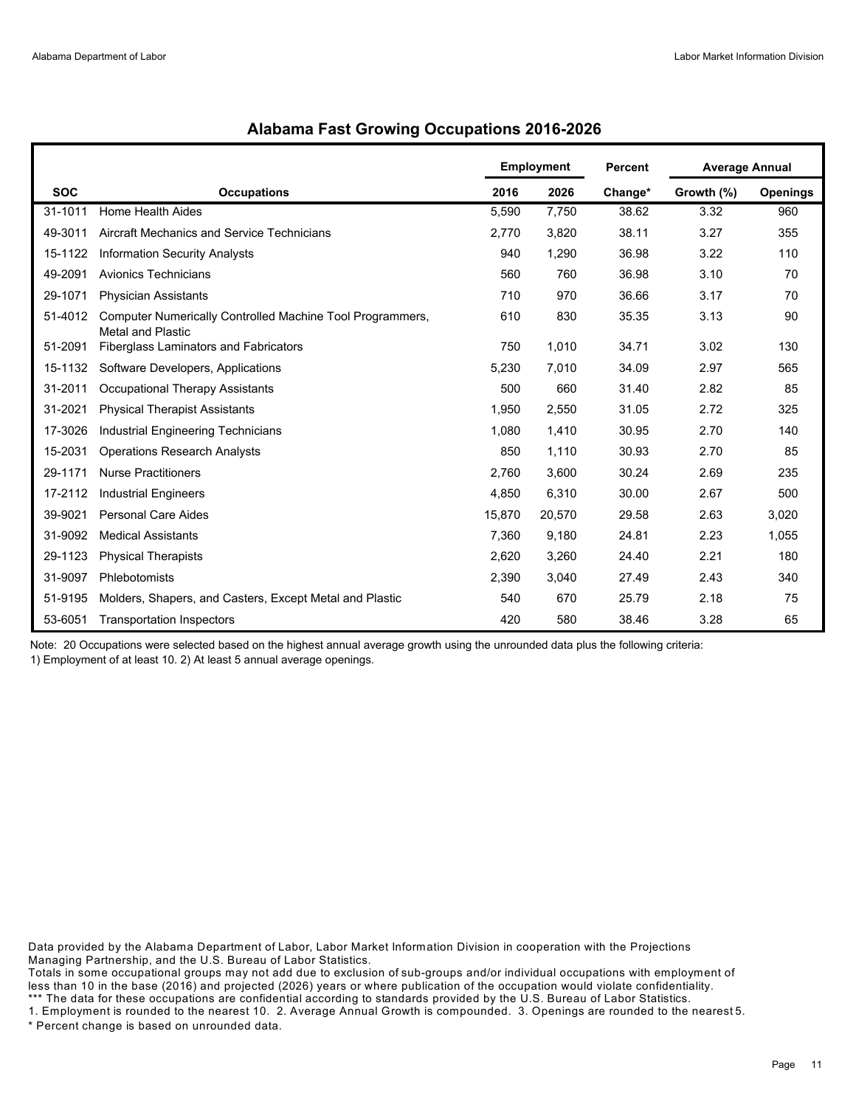|            |                                                                                       | <b>Employment</b> |        | <b>Percent</b> | <b>Average Annual</b> |                 |
|------------|---------------------------------------------------------------------------------------|-------------------|--------|----------------|-----------------------|-----------------|
| <b>SOC</b> | <b>Occupations</b>                                                                    | 2016              | 2026   | Change*        | Growth (%)            | <b>Openings</b> |
| 31-1011    | Home Health Aides                                                                     | 5,590             | 7,750  | 38.62          | 3.32                  | 960             |
| 49-3011    | Aircraft Mechanics and Service Technicians                                            | 2,770             | 3,820  | 38.11          | 3.27                  | 355             |
| 15-1122    | <b>Information Security Analysts</b>                                                  | 940               | 1,290  | 36.98          | 3.22                  | 110             |
| 49-2091    | <b>Avionics Technicians</b>                                                           | 560               | 760    | 36.98          | 3.10                  | 70              |
| 29-1071    | <b>Physician Assistants</b>                                                           | 710               | 970    | 36.66          | 3.17                  | 70              |
| 51-4012    | Computer Numerically Controlled Machine Tool Programmers,<br><b>Metal and Plastic</b> | 610               | 830    | 35.35          | 3.13                  | 90              |
| 51-2091    | Fiberglass Laminators and Fabricators                                                 | 750               | 1,010  | 34.71          | 3.02                  | 130             |
| 15-1132    | Software Developers, Applications                                                     | 5,230             | 7,010  | 34.09          | 2.97                  | 565             |
| 31-2011    | Occupational Therapy Assistants                                                       | 500               | 660    | 31.40          | 2.82                  | 85              |
| 31-2021    | <b>Physical Therapist Assistants</b>                                                  | 1,950             | 2,550  | 31.05          | 2.72                  | 325             |
| 17-3026    | Industrial Engineering Technicians                                                    | 1,080             | 1,410  | 30.95          | 2.70                  | 140             |
| 15-2031    | <b>Operations Research Analysts</b>                                                   | 850               | 1,110  | 30.93          | 2.70                  | 85              |
| 29-1171    | <b>Nurse Practitioners</b>                                                            | 2,760             | 3,600  | 30.24          | 2.69                  | 235             |
| 17-2112    | <b>Industrial Engineers</b>                                                           | 4,850             | 6,310  | 30.00          | 2.67                  | 500             |
| 39-9021    | <b>Personal Care Aides</b>                                                            | 15,870            | 20,570 | 29.58          | 2.63                  | 3,020           |
| 31-9092    | <b>Medical Assistants</b>                                                             | 7,360             | 9,180  | 24.81          | 2.23                  | 1,055           |
| 29-1123    | <b>Physical Therapists</b>                                                            | 2,620             | 3,260  | 24.40          | 2.21                  | 180             |
| 31-9097    | Phlebotomists                                                                         | 2,390             | 3,040  | 27.49          | 2.43                  | 340             |
| 51-9195    | Molders, Shapers, and Casters, Except Metal and Plastic                               | 540               | 670    | 25.79          | 2.18                  | 75              |
| 53-6051    | <b>Transportation Inspectors</b>                                                      | 420               | 580    | 38.46          | 3.28                  | 65              |

## **Alabama Fast Growing Occupations 2016-2026**

Note: 20 Occupations were selected based on the highest annual average growth using the unrounded data plus the following criteria: 1) Employment of at least 10. 2) At least 5 annual average openings.

Data provided by the Alabama Department of Labor, Labor Market Information Division in cooperation with the Projections Managing Partnership, and the U.S. Bureau of Labor Statistics.

Totals in some occupational groups may not add due to exclusion of sub-groups and/or individual occupations with employment of less than 10 in the base (2016) and projected (2026) years or where publication of the occupation would violate confidentiality. \*\*\* The data for these occupations are confidential according to standards provided by the U.S. Bureau of Labor Statistics.

1. Employment is rounded to the nearest 10. 2. Average Annual Growth is compounded. 3. Openings are rounded to the nearest 5. \* Percent change is based on unrounded data.